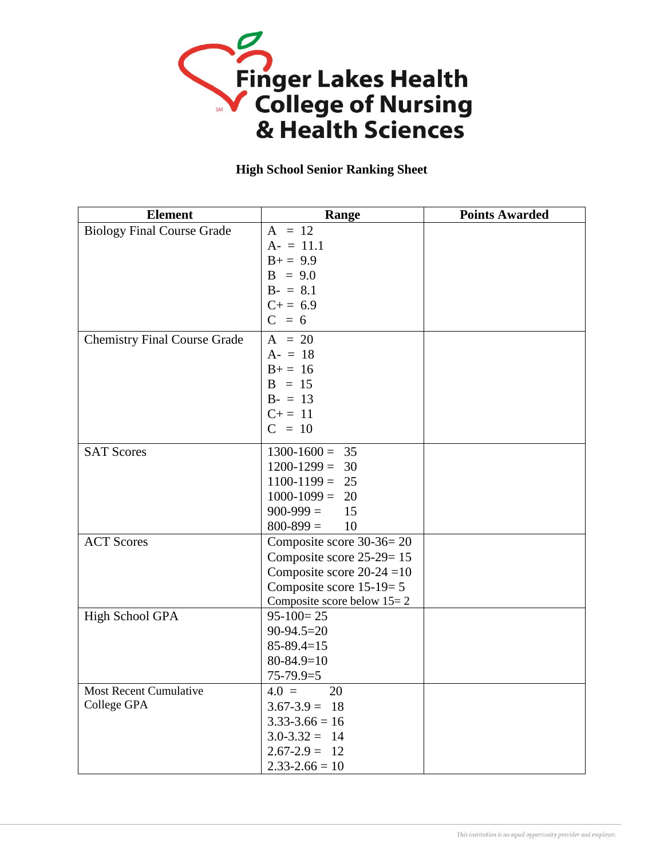

## **High School Senior Ranking Sheet**

| <b>Element</b>                      | Range                        | <b>Points Awarded</b> |
|-------------------------------------|------------------------------|-----------------------|
| <b>Biology Final Course Grade</b>   | $A = 12$                     |                       |
|                                     | $A = 11.1$                   |                       |
|                                     | $B+=9.9$                     |                       |
|                                     | $B = 9.0$                    |                       |
|                                     | $B - = 8.1$                  |                       |
|                                     | $C+=6.9$                     |                       |
|                                     | $C = 6$                      |                       |
| <b>Chemistry Final Course Grade</b> | $A = 20$                     |                       |
|                                     | $A - = 18$                   |                       |
|                                     | $B+=16$                      |                       |
|                                     | $B = 15$                     |                       |
|                                     | $B - = 13$                   |                       |
|                                     | $C+=11$                      |                       |
|                                     | $C = 10$                     |                       |
| <b>SAT Scores</b>                   | $1300-1600 = 35$             |                       |
|                                     | $1200 - 1299 =$<br>30        |                       |
|                                     | $1100-1199 = 25$             |                       |
|                                     | $1000-1099 = 20$             |                       |
|                                     | $900 - 999 =$<br>15          |                       |
|                                     | $800 - 899 =$<br>10          |                       |
| <b>ACT Scores</b>                   | Composite score 30-36=20     |                       |
|                                     | Composite score 25-29=15     |                       |
|                                     | Composite score $20-24=10$   |                       |
|                                     | Composite score $15-19=5$    |                       |
|                                     | Composite score below $15=2$ |                       |
| <b>High School GPA</b>              | $95-100=25$                  |                       |
|                                     | $90-94.5=20$                 |                       |
|                                     | $85 - 89.4 = 15$             |                       |
|                                     | $80 - 84.9 = 10$             |                       |
|                                     | $75-79.9=5$                  |                       |
| Most Recent Cumulative              | 20<br>$4.0 =$                |                       |
| College GPA                         | $3.67 - 3.9 = 18$            |                       |
|                                     | $3.33 - 3.66 = 16$           |                       |
|                                     | $3.0 - 3.32 = 14$            |                       |
|                                     | $2.67 - 2.9 = 12$            |                       |
|                                     | $2.33 - 2.66 = 10$           |                       |